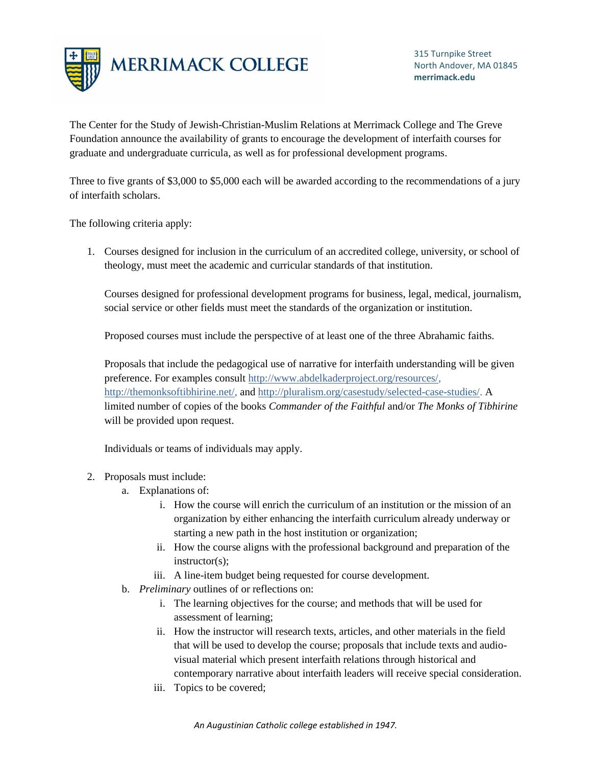

The Center for the Study of Jewish-Christian-Muslim Relations at Merrimack College and The Greve Foundation announce the availability of grants to encourage the development of interfaith courses for graduate and undergraduate curricula, as well as for professional development programs.

Three to five grants of \$3,000 to \$5,000 each will be awarded according to the recommendations of a jury of interfaith scholars.

The following criteria apply:

1. Courses designed for inclusion in the curriculum of an accredited college, university, or school of theology, must meet the academic and curricular standards of that institution.

Courses designed for professional development programs for business, legal, medical, journalism, social service or other fields must meet the standards of the organization or institution.

Proposed courses must include the perspective of at least one of the three Abrahamic faiths.

Proposals that include the pedagogical use of narrative for interfaith understanding will be given preference. For examples consul[t http://www.abdelkaderproject.org/resources/,](http://www.abdelkaderproject.org/resources/) [http://themonksoftibhirine.net/,](http://themonksoftibhirine.net/) and [http://pluralism.org/casestudy/selected-case-studies/.](http://pluralism.org/casestudy/selected-case-studies/) A limited number of copies of the books *Commander of the Faithful* and/or *The Monks of Tibhirine* will be provided upon request.

Individuals or teams of individuals may apply.

## 2. Proposals must include:

- a. Explanations of:
	- i. How the course will enrich the curriculum of an institution or the mission of an organization by either enhancing the interfaith curriculum already underway or starting a new path in the host institution or organization;
	- ii. How the course aligns with the professional background and preparation of the instructor(s);
	- iii. A line-item budget being requested for course development.
- b. *Preliminary* outlines of or reflections on:
	- i. The learning objectives for the course; and methods that will be used for assessment of learning;
	- ii. How the instructor will research texts, articles, and other materials in the field that will be used to develop the course; proposals that include texts and audiovisual material which present interfaith relations through historical and contemporary narrative about interfaith leaders will receive special consideration.
	- iii. Topics to be covered;